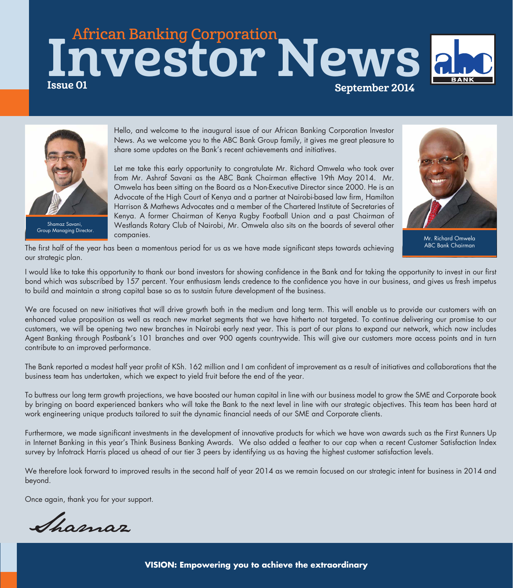# African Banking Corporation Issue 01 September 2014 Investor News



Group Managing Director.

Hello, and welcome to the inaugural issue of our African Banking Corporation Investor News. As we welcome you to the ABC Bank Group family, it gives me great pleasure to share some updates on the Bank's recent achievements and initiatives.

Let me take this early opportunity to congratulate Mr. Richard Omwela who took over from Mr. Ashraf Savani as the ABC Bank Chairman effective 19th May 2014. Mr. Omwela has been sitting on the Board as a Non-Executive Director since 2000. He is an Advocate of the High Court of Kenya and a partner at Nairobi-based law firm, Hamilton Harrison & Mathews Advocates and a member of the Chartered Institute of Secretaries of Kenya. A former Chairman of Kenya Rugby Football Union and a past Chairman of Westlands Rotary Club of Nairobi, Mr. Omwela also sits on the boards of several other companies.



Mr. Richard Omwela

The first half of the year has been a momentous period for us as we have made significant steps towards achieving our strategic plan.

I would like to take this opportunity to thank our bond investors for showing confidence in the Bank and for taking the opportunity to invest in our first bond which was subscribed by 157 percent. Your enthusiasm lends credence to the confidence you have in our business, and gives us fresh impetus to build and maintain a strong capital base so as to sustain future development of the business.

We are focused on new initiatives that will drive growth both in the medium and long term. This will enable us to provide our customers with an enhanced value proposition as well as reach new market segments that we have hitherto not targeted. To continue delivering our promise to our customers, we will be opening two new branches in Nairobi early next year. This is part of our plans to expand our network, which now includes Agent Banking through Postbank's 101 branches and over 900 agents countrywide. This will give our customers more access points and in turn contribute to an improved performance.

The Bank reported a modest half year profit of KSh. 162 million and I am confident of improvement as a result of initiatives and collaborations that the business team has undertaken, which we expect to yield fruit before the end of the year.

To buttress our long term growth projections, we have boosted our human capital in line with our business model to grow the SME and Corporate book by bringing on board experienced bankers who will take the Bank to the next level in line with our strategic objectives. This team has been hard at work engineering unique products tailored to suit the dynamic financial needs of our SME and Corporate clients.

Furthermore, we made significant investments in the development of innovative products for which we have won awards such as the First Runners Up in Internet Banking in this year's Think Business Banking Awards. We also added a feather to our cap when a recent Customer Satisfaction Index survey by Infotrack Harris placed us ahead of our tier 3 peers by identifying us as having the highest customer satisfaction levels.

We therefore look forward to improved results in the second half of year 2014 as we remain focused on our strategic intent for business in 2014 and beyond.

Once again, thank you for your support.

Shamaz

**VISION: Empowering you to achieve the extraordinary**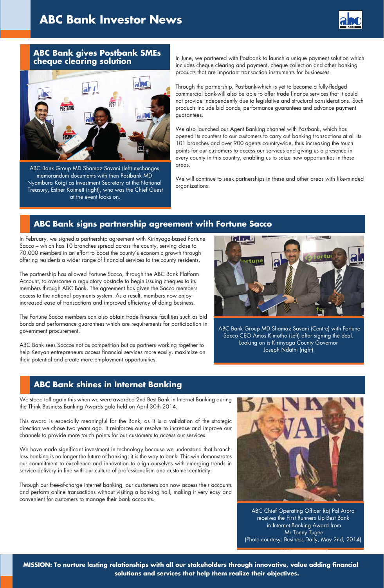

## **ABC Bank gives Postbank SMEs cheque clearing solution**



ABC Bank Group MD Shamaz Savani (left) exchanges memorandum documents with then Postbank MD Nyambura Koigi as Investment Secretary at the National Treasury, Esther Koimett (right), who was the Chief Guest at the event looks on.

In June, we partnered with Postbank to launch a unique payment solution which includes cheque clearing and payment, cheque collection and other banking products that are important transaction instruments for businesses.

Through the partnership, Postbank-which is yet to become a fully-fledged commercial bank-will also be able to offer trade finance services that it could not provide independently due to legislative and structural considerations. Such products include bid bonds, performance guarantees and advance payment guarantees.

We also launched our Agent Banking channel with Postbank, which has opened its counters to our customers to carry out banking transactions at all its 101 branches and over 900 agents countrywide, thus increasing the touch points for our customers to access our services and giving us a presence in every county in this country, enabling us to seize new opportunities in these areas.

We will continue to seek partnerships in these and other areas with like-minded organizations.

## **ABC Bank signs partnership agreement with Fortune Sacco**

In February, we signed a partnership agreement with Kirinyaga-based Fortune Sacco – which has 10 branches spread across the county, serving close to 70,000 members in an effort to boost the county's economic growth through offering residents a wider range of financial services to the county residents.

The partnership has allowed Fortune Sacco, through the ABC Bank Platform Account, to overcome a regulatory obstacle to begin issuing cheques to its members through ABC Bank. The agreement has given the Sacco members access to the national payments system. As a result, members now enjoy increased ease of transactions and improved efficiency of doing business.

The Fortune Sacco members can also obtain trade finance facilities such as bid bonds and performance guarantees which are requirements for participation in government procurement.

ABC Bank sees Saccos not as competition but as partners working together to help Kenyan entrepreneurs access financial services more easily, maximize on their potential and create more employment opportunities.



ABC Bank Group MD Shamaz Savani (Centre) with Fortune Sacco CEO Amos Kimotho (Left) after signing the deal. Looking on is Kirinyaga County Governor Joseph Ndathi (right).

## **ABC Bank shines in Internet Banking**

We stood tall again this when we were awarded 2nd Best Bank in Internet Banking during the Think Business Banking Awards gala held on April 30th 2014.

This award is especially meaningful for the Bank, as it is a validation of the strategic direction we chose two years ago. It reinforces our resolve to increase and improve our channels to provide more touch points for our customers to access our services.

We have made significant investment in technology because we understand that branchless banking is no longer the future of banking; it is the way to bank. This win demonstrates our commitment to excellence and innovation to align ourselves with emerging trends in service delivery in line with our culture of professionalism and customer-centricity.

Through our free-of-charge internet banking, our customers can now access their accounts and perform online transactions without visiting a banking hall, making it very easy and convenient for customers to manage their bank accounts.



ABC Chief Operating Officer Raj Pal Arora receives the First Runners Up Best Bank in Internet Banking Award from Mr Tonny Tugee (Photo courtesy: Business Daily, May 2nd, 2014)

**MISSION: To nurture lasting relationships with all our stakeholders through innovative, value adding financial solutions and services that help them realize their objectives.**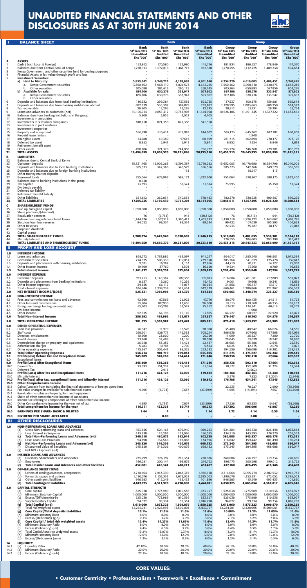|                     | <b>BALANCE SHEET</b>                                                                                                  |                                      |                                    | <b>Bank</b>                          |                                      | <b>Group</b>                         |                             |                               |                                      |
|---------------------|-----------------------------------------------------------------------------------------------------------------------|--------------------------------------|------------------------------------|--------------------------------------|--------------------------------------|--------------------------------------|-----------------------------|-------------------------------|--------------------------------------|
|                     |                                                                                                                       | Bank<br>30th June 2013               | Bank<br>31st Dec 2013              | Bank<br>31st Mar 2014                | <b>Bank</b><br>30th June 2014        | Group<br>30 <sup>th</sup> June 2013  | Group<br>31st Dec 2013      | Group<br>31st Mar 2014        | <b>Group</b><br>30th June 2014       |
|                     |                                                                                                                       | <b>Unaudited</b><br><b>Shs '000'</b> | <b>Audited</b><br><b>Shs '000'</b> | <b>Unaudited</b><br><b>Shs '000'</b> | <b>Unaudited</b><br><b>Shs '000'</b> | <b>Unaudited</b><br><b>Shs '000'</b> | <b>Audited</b><br>Shs '000' | <b>Unaudited</b><br>Shs '000' | <b>Unaudited</b><br><b>Shs '000'</b> |
| A<br>-1             | <b>ASSETS</b><br>Cash (both Local & Foreign)                                                                          | 153,912                              | 170,580                            | 152,990                              | 145,716                              | 181,934                              | 186,527                     | 178,949                       | 174,370                              |
| 2<br>3              | Balances due from Central Bank of Kenya<br>Kenya Government and other securities held for dealing purposes            | 1,728,023                            | 1,072,816                          | 1,461,717                            | 852,370                              | 1,770,255                            | 1,112,225                   | 1,489,338                     | 894,654                              |
| 4<br>5              | Financial Assets at fair value through profit and loss<br><b>Investment Securities:</b>                               |                                      |                                    |                                      |                                      |                                      |                             |                               |                                      |
|                     | a) Held to Maturity:                                                                                                  | 3,855,542                            | 4,249,723                          | 4,118,688                            | 4,901,360                            | 4,254,226                            | 4,619,003                   | 4,406,432                     | 5,247,491                            |
|                     | Kenya Government securities<br>a.<br>b.<br>Other securities                                                           | 3,550,462<br>305,080                 | 3,968,110<br>281,613               | 3,828,573<br>290,115                 | 4,643,215<br>258,145                 | 3,550,462<br>703,764                 | 3,968,110<br>650,893        | 3,828,573<br>577,859          | 4,643,215<br>604,276                 |
|                     | <b>Available for sale:</b><br>b)<br>Kenya Government securities<br>а.                                                 | 897,106<br>897,106                   | 630,276<br>630,276                 | 333,947<br>333,947                   | 577,602<br>577,602                   | 897,106<br>897.106                   | 630,276<br>630,276          | 333,947<br>333,947            | 577,602<br>577,602                   |
| 6                   | Other securities<br>b.<br>Deposits and balances due from local banking institutions                                   | 116,532                              | 299,384                            | 737,535                              | 572,755                              | 137,537                              | 309,875                     | 759,881                       | 595,644                              |
| $\overline{7}$<br>8 | Deposits and balances due from banking institutions abroad<br>Tax recoverable                                         | 682,939<br>26,805                    | 535,302<br>12,295                  | 384,875<br>12,295                    | 232,877<br>12,295                    | 1,128,595<br>28,812                  | 1,003,663<br>27,131         | 609,250<br>28,394             | 514,522<br>28,754                    |
| 9<br>10             | Loans and advances to customers (net)<br>Balances due from banking institutions in the group                          | 10,100,714<br>3,800                  | 10.851.417<br>3,955                | 10,783,907<br>4,052                  | 11,124,698<br>4,105                  | 10,626,186                           | 11,491,145                  | 11,347,322                    | 11,653,562                           |
| 11<br>12            | Investments in associates<br>Investments in subsidiary companies                                                      | 818,158                              | 821,358                            | 821,358                              | 841,358                              |                                      |                             |                               |                                      |
| 13<br>14            | Investments in joint ventures<br>Investment properties                                                                |                                      |                                    |                                      |                                      |                                      |                             |                               |                                      |
| 15<br>16            | Property and equipment<br>Prepaid lease rentals                                                                       | 556,790                              | 615,614                            | 612,918                              | 614,602                              | 567,173                              | 645,362<br>1,940            | 647,182                       | 650,808                              |
| 17                  | Intangible assets                                                                                                     | 54,780                               | 49,380                             | 57,615                               | 60,899                               | 281,315                              | 262,894                     | 270,177                       | 273,176                              |
| 18<br>19            | Deferred tax asset<br>Retirement benefit asset                                                                        | 8,852                                | 5,941                              | 5,941                                | 5,941                                | 8,852                                | 7,324                       | 9,846                         | 9,819                                |
| 20<br>21            | Other assets<br><b>TOTAL ASSETS</b>                                                                                   | 490,106<br>19,494,059                | 321.329<br>19,639,370              | 744,058<br>20,231,896                | 786,732<br>20,733,310                | 553,224<br>20,435,215                | 346.368<br>20,643,733       | 779,281<br>20,859,999         | 830,759<br>21,451,161                |
| B<br>22             | <b>LIABILITIES</b><br>Balances due to Central Bank of Kenya                                                           |                                      |                                    |                                      |                                      |                                      |                             |                               |                                      |
| 23<br>24            | Customer deposits<br>Deposits and balances due to local banking institutions                                          | 15,131,465<br>585,373                | 15,905,263<br>342,366              | 16,391,387<br>349,579                | 15,778,282<br>356,556                | 15,652,003<br>585,373                | 16,478,690<br>342,366       | 16,654,798<br>349,579         | 16,040,009<br>356,556                |
| 25<br>26            | Deposits and balances due to foreign banking institutions<br>Other money market deposits                              |                                      |                                    | 113                                  |                                      |                                      | 18,747                      | 113                           |                                      |
| 27<br>28            | Borrowed funds<br>Balances due to banking institutions in the group                                                   | 755,064<br>8,628                     | 678,967                            | 588,173                              | 1,622,400                            | 755,064                              | 678,967                     | 588,173                       | 1,622,400                            |
| 29                  | Tax payable                                                                                                           | 73,593                               |                                    | 31,324                               | 51,374                               | 73,593                               |                             | 35,150                        | 51,374                               |
| 30<br>31            | Dividends payable<br>Deferred tax liability                                                                           |                                      |                                    |                                      |                                      |                                      |                             |                               |                                      |
| 32<br>33            | Retirement benefit liability<br>Other liabilities                                                                     | 651,612                              | 262,834                            | 340,631                              | 378,483                              | 782,578                              | 338,725                     | 400,407                       | 510,295                              |
| 34<br>c             | <b>TOTAL LIABILITIES</b><br><b>SHAREHOLDERS' FUNDS</b>                                                                | 17,205,735                           | 17,189,430                         | 17,701,207                           | 18,187,095                           | 17,848,611                           | 17,857,495                  | 18,028,220                    | 18,580,634                           |
| 35<br>36            | Paid up /Assigned capital<br>Share premium/(discount)                                                                 | 1,050,000                            | 1,050,000                          | 1,050,000                            | 1,050,000                            | 1,050,000                            | 1,050,000                   | 1,050,000                     | 1,050,000                            |
| 37<br>38            | <b>Revaluation reserves</b><br>Retained earnings/Accumulated losses                                                   | 76<br>1,144,226                      | (6, 713)<br>1,307,319              | 944<br>1,380,411                     | (30, 312)<br>1,427,193               | 76<br>1,138,318                      | (6, 713)<br>1,296,122       | 944<br>1,343,667              | (30, 312)<br>1,409,781               |
| 39                  | Statutory loan loss reserves                                                                                          | 94,022                               | 99,334                             | 99,334                               | 99,334                               | 99,422                               | 107,039                     | 105,593                       | 104,623                              |
| 40<br>41            | <b>Other Reserves</b><br>Proposed dividends                                                                           |                                      |                                    |                                      |                                      | 22,233                               | 35,187                      | 38,177                        | 20,018                               |
| 42<br>43            | Capital grants<br><b>TOTAL SHAREHOLDERS' FUNDS</b>                                                                    | 2,288,324                            | 2,449,940                          | 2,530,689                            | 2,546,215                            | 2,310,049                            | 2,481,635                   | 2,538,381                     | 2,554,110                            |
| 44<br>45            | <b>Minority Interest</b><br>TOTAL LIABILITIES AND SHAREHOLDERS' FUNDS                                                 | 19,494,059                           | 19,639,370                         | 20,231,896                           | 20.733.310                           | 276,555<br>20,435,215                | 304,603<br>20,643,733       | 293.398<br>20,859,999         | 316,417<br>21,451,161                |
| Ш                   | <b>PROFIT AND LOSS ACCOUNT</b>                                                                                        |                                      |                                    |                                      |                                      |                                      |                             |                               |                                      |
| 1.0<br>1.1          | <b>INTEREST INCOME</b><br>Loans and advances                                                                          | 858,772                              | 1,763,882                          | 463,097                              | 941,247                              | 904,017                              | 1,885,740                   | 498,901                       | 1,012,594                            |
| 1.2<br>1.3          | <b>Government securities</b><br>Deposits and placements with banking institutions                                     | 274,625<br>9,071                     | 506,330<br>16,762                  | 117,051<br>4,153                     | 239,620<br>12,266                    | 283,264<br>44,719                    | 541,629<br>70,711           | 125,478<br>14,127             | 257,612<br>25,958                    |
| 1.4<br>1.5          | Other Interest Income<br>Total Interest Income                                                                        | 19,409<br>1,161,877                  | 37,760<br>2,324,734                | 8,503<br>592,804                     | 16,620<br>1,209,753                  | 19,424<br>1,251,424                  | 37,760<br>2,535,840         | 8,789<br>647,294              | 16,635<br>12,799                     |
| 2.0                 | <b>INTEREST EXPENSE</b>                                                                                               |                                      |                                    |                                      |                                      |                                      |                             |                               |                                      |
| 2.1<br>2.2          | Customer deposits<br>Deposits and placement from banking institutions                                                 | 593,253<br>8,637                     | 1,149,362<br>19,260                | 287,358<br>10,259                    | 577,073<br>18,472                    | 616,604<br>9,001                     | 1,201,081<br>19,668         | 297,809<br>10,341             | 592,073<br>18,612                    |
| 2.3<br>2.4          | Other interest expenses<br>Total interest expenses                                                                    | 34,856<br>636,746                    | 66,117<br>1,234,739                | 13,817<br>311,434                    | 46,684<br>642,229                    | 34,856<br>660,461                    | 66,117<br>1,286,866         | 13,817<br>321,967             | 46,684<br>657,369                    |
| 3.0<br>4.0          | <b>NET INTEREST INCOME/(LOSS)</b><br><b>NON-INTEREST INCOME</b>                                                       | 525,131                              | 1,089,995                          | 281,370                              | 567,524                              | 590,963                              | 1,248,974                   | 325,327                       | 655,430                              |
| 4.1<br>4.2          | Fees and commissions on loans and advances<br>Other fees and commissions                                              | 42,360<br>95,704                     | 87,569<br>187,930                  | 22,925<br>43,456                     | 47,770<br>96,800                     | 50,075<br>97,513                     | 100,435<br>210,560          | 24,811<br>46,233              | 51,723<br>101,162                    |
| 4.3                 | Foreign exchange trading income/(Loss)                                                                                | 65,703                               | 130,297                            | 39,547                               | 75,652                               | 67,632                               | 134,941                     | 40,614                        | 78,209                               |
| 4.4<br>4.5          | Dividend Income<br>Other income                                                                                       | 52,625                               | 64,196                             | 16,149                               | 17,305                               | 64,227                               | 1,900<br>68,927             | 22,920                        | 45,473                               |
| 4.6<br>5.0          | <b>Total Non-interest income</b><br><b>TOTAL OPERATING INCOME</b>                                                     | 256,392<br>781,523                   | 469,992<br>1,559,987               | 122,077<br>403,447                   | 237,527<br>805,051                   | 279,447<br>870,410                   | 516,763<br>1,765,737        | 134,578<br>459,905            | 276,567<br>931,997                   |
| 6.0                 | <b>OTHER OPERATING EXPENSES</b>                                                                                       |                                      |                                    |                                      |                                      |                                      |                             |                               |                                      |
| 6.1<br>6.2          | Loan loss provision<br>Staff costs                                                                                    | 26,347<br>268,501                    | 11,979<br>528,771                  | 18,578<br>146,583                    | 28,008<br>305,214                    | 35,408<br>306,938                    | 48,942<br>607,660           | 66,624<br>167,568             | 64,556<br>354,916                    |
| 6.3<br>6.4          | Directors' emoluments<br>Rental charges                                                                               | 10,900<br>23,168                     | 23,000<br>52,488                   | 7,200<br>14,196                      | 20,720<br>28,380                     | 11,099<br>29,045                     | 26,527<br>67,039            | 7,200<br>18,947               | 20,720<br>38,880                     |
| 6.5<br>6.6          | Depreciation charge on property and equipment<br>Amortisation charges                                                 | 26,648<br>5,283                      | 51,257<br>10,783                   | 11,421<br>2,700                      | 22,437<br>5,514                      | 28,603<br>6,025                      | 55,186<br>12,175            | 12,543<br>2,978               | 25,330<br>6,071                      |
| 6.7<br>6.8          | Other operating expenses<br><b>Total Other Operating Expenses</b>                                                     | 175,367<br>536,214                   | 303,441<br>981,719                 | 98,355<br>299,033                    | 223,532<br>633,805                   | 194,556<br>611,673                   | 356,098<br>1,173,627        | 116,382<br>392,242            | 259,162<br>769,635                   |
| 7.0<br>8.0          | <b>Profit/(loss) Before Tax and Exceptional Items</b><br><b>Exceptional Items</b>                                     | 245,309                              | 578,268                            | 104,414                              | 171,246                              | 258,736                              | 592,110                     | 67,664                        | 162,362                              |
| 9.0<br>10.0         | <b>Profit/(Loss) After Exceptional Items</b><br><b>Current Tax</b>                                                    | 245,309<br>73,593                    | 578,268<br>151,232                 | 104,414<br>31,324                    | 171,246<br>51,374                    | 258,736<br>78,572                    | 592,110<br>152,509          | 67,664<br>31,324              | 162,362<br>51,374                    |
| 11.0<br>12.0        | Deferred Tax<br><b>Profit/(Loss) After Tax and Exceptional Items</b>                                                  | 171,716                              | 2,911<br>424,125                   | 73,090                               | 119,872                              | 180,164                              | (2, 562)<br>442,163         | 36,340                        | 110,988                              |
| 13.0<br>14.0        | <b>Minority Interest</b><br>Profit/(loss) after tax, exceptional items and Minority Interest                          | 171,716                              | 424,125                            | 73,090                               | 119,872                              | 3,378<br>176,786                     | 7,822<br>434,341            | (11,205)<br>47,545            | (2,844)<br>113,832                   |
| 15.0<br>15.1        | <b>Other Comprehensive Income</b><br>Gains/(Losses) from translating the financial statements of foreign operations   |                                      |                                    |                                      |                                      | 22,233                               | 78,227                      | 2,990                         | (15, 169)                            |
| 15.2<br>15.3        | Fair value changes in available for sale financial assets                                                             | 4,995                                | (1, 794)                           | 7,657                                | (23, 599)                            | 4,995                                | (14, 294)                   | 7,657                         | (23, 599)                            |
| 15.4                | Revaluation surplus on Property, plant and equipment<br>Share of other comprehensive income of associates             | $\overline{\phantom{a}}$             |                                    |                                      |                                      |                                      |                             | $\overline{\phantom{a}}$      |                                      |
| 15.5<br>16.0        | Income tax relating to components of other comprehensive income<br>Other Comprehensive Income for the year net of tax | 4,995                                | (1,794)                            | 7,657                                | (23, 599)                            | 27,228                               | 63,933                      | 10,647                        | (38, 768)                            |
| 17.0<br>18.0        | Total comprehensive income for the year<br><b>EARNINGS PER SHARE- BASIC &amp; DILUTED</b>                             | 176,711<br>1.64                      | 422,331<br>4                       | 80,747<br>1                          | 96,273<br>1.14                       | 207,392<br>1.72                      | 506,096<br>4.14             | 46,987<br>0.35                | 72,220<br>1.06                       |
| 19.0                | <b>DIVIDEND PER SHARE -DECLARED</b>                                                                                   | $\blacksquare$                       | 0.80                               |                                      |                                      | ٠                                    | 0.80                        | ٠                             |                                      |
| Ш                   | <b>OTHER DISCLOSURES</b>                                                                                              |                                      |                                    |                                      |                                      |                                      |                             |                               |                                      |
| 1.0                 | <b>NON-PERFORMING LOANS AND ADVANCES</b><br>Gross Non-performing loans and advances<br>(a)                            | 453,856                              | 624,165                            | 676,940                              | 989,243                              | 524,304                              | 687,130                     | 826,448                       | 1,073,884                            |
|                     | (b)<br>Less: Interest in Suspense<br><b>Total Non-Performing Loans and Advances (a-b)</b><br>(c)                      | 113,838<br>340,018                   | 143,293<br>480,872                 | 163,996<br>512,944                   | 186,515<br>802.728                   | 134,219<br>390,085                   | 143,293<br>543,837          | 176,270<br>650,178            | 201,553<br>872,331                   |
|                     | (d)<br>Less: Loan Loss Provision<br>(e)<br>Net Non-Performing Loans and Advances(c-d)                                 | 94,198<br>245,820                    | 134,566<br>346,306                 | 112,868<br>400,076                   | 134,596<br>668,132                   | 116,842<br>273,243                   | 159,442<br>384,395          | 181,490<br>468,688            | 186,284<br>686,047                   |
|                     | (f)<br>Discounted Value of Securities<br>Net NPLs Exposure (e-f)<br>(g)                                               | 245,820                              | 346,306                            | 400,076                              | 668,132                              | 273,243                              | 384,395                     | 468,688                       | 686,047                              |
| 2.0                 | <b>INSIDER LOANS AND ADVANCES</b><br>Directors, Shareholders and Associates                                           | 235,799                              | 226,197                            | 219,334                              | 220,686                              | 240,684                              | 226,197                     | 219,334                       | 220,686                              |
|                     | (a)<br>(b)<br>Employees                                                                                               | 196,281                              | 200,144                            | 198,879                              | 216,722                              | 196,475                              | 200,298                     | 199,012                       | 216,722                              |
| 3.0                 | (c)<br><b>Total Insider Loans and Advances and other facilities</b><br><b>OFF-BALANCE SHEET ITEMS</b>                 | 432,081                              | 426,341                            | 418,213                              | 437,407                              | 437,160                              | 426,495                     | 418,346                       | 437,407                              |
|                     | Letters of credit, guarantees, acceptances<br>(a)<br>(b)<br>Forwards, swaps and options                               | 2,710,864<br>1,190,076               | 2,943,390<br>1,153,331             | 2,063,315<br>1,672,052               | 1,950,178<br>2,395,003               | 2,714,064<br>1,190,076               | 3,095,274<br>1,153,331      | 2,202,532<br>1,672,052        | 1,966,753<br>2,395,003               |
|                     | Other contingent liabilities<br>(c)<br><b>Total Contingent Liabilities</b><br>(d)                                     | 946,583<br>4,847,523                 | 415,249<br>4,511,970               | 493,433<br>4,228,800                 | 101,890<br>4,447,071                 | 946,583<br>4,850,723                 | 415,249<br>4,663,854        | 493,433<br>4,368,017          | 101,890<br>4,463,646                 |
| 4.0                 | <b>CAPITAL STRENGTH</b>                                                                                               |                                      |                                    |                                      |                                      |                                      |                             |                               |                                      |
|                     | (a)<br>Core capital<br>(b)<br>Minimum Statutory Capital                                                               | 1,525,038<br>1,000,000               | 1,773,989<br>1,000,000             | 1,810,536<br>1,000,000               | 1,833,927<br>1,000,000               | 1,525,038<br>1,000,000               | 1,773,989<br>1,000,000      | 1,810,536<br>1,000,000        | 1,833,927<br>1,000,000               |
|                     | Excess/(Dificiency)(a-b)<br>(c)<br>(d)<br>Supplementary Capital                                                       | 525,038<br>94.022                    | 773,989<br>99,334                  | 810,536<br>99,334                    | 833,927<br>1,016,298                 | 525,038<br>94.022                    | 773,989<br>99,334           | 810,536<br>99,334             | 833,927<br>1.016.298                 |
|                     | Total Capital (a+d)<br>(e)<br>(f)<br>Total risk weighted assets                                                       | 1,619,060<br>12,284,781              | 1,873,323<br>12,428,995            | 1,909,870<br>15,509,001              | 2,850,225<br>15,837,767              | 1,619,060<br>12,284,781              | 1,873,323<br>12,428,995     | 1,909,870<br>15,509,001       | 2,850,225<br>15,837,767              |
|                     | <b>Core Capital/Total deposits Liabilities</b><br>$\begin{pmatrix} g \\ h \end{pmatrix}$<br>Minimum statutory Ratio   | 10.1%<br>8.0%                        | 11.2%<br>8.0%                      | 11.0%<br>8.0%                        | 11.6%<br>8.0%                        | 10.08%<br>8.0%                       | 11.2%<br>8.0%               | 11.05%<br>8.0%                | 11.6%<br>8.0%                        |
|                     | Excess/(Deficiency) (g-h)<br>$\binom{1}{1}$<br>Core Capital / total risk weighted assets                              | 2.1%<br>12.4%                        | 3.2%<br>14.27%                     | 3.0%<br>11.67%                       | 3.6%<br>11.6%                        | 2.1%<br>12.4%                        | 3.2%<br>14.3%               | 3.0%<br>11.7%                 | 3.6%<br>11.6%                        |
|                     | Minimum Statutory Ratio<br>(k)<br>Excess (Deficiency) (j-k)<br>(1)                                                    | 8.0%<br>4.4%                         | 8.0%<br>6.3%                       | 8.0%<br>3.7%                         | 8.0%<br>3.6%                         | 8.0%<br>4.4%                         | 8.0%<br>6.3%                | 8.0%<br>3.7%                  | 8.0%<br>3.6%                         |
|                     | Total Capital/total risk weighted assets<br>(m)<br>Minimum statutory Ratio<br>(n)                                     | 13.2%<br>12.0%                       | 15.07%<br>12.0%                    | 12.31%<br>12.0%                      | 18.0%<br>12.0%                       | 13.2%<br>12.0%                       | 15.1%<br>12.0%              | 12.3%<br>12.0%                | 18.0%<br>12.0%                       |
|                     | Excess/(Deficiency) (m-n)<br>(o)                                                                                      | 1.2%                                 | 3.1%                               | 0.3%                                 | 6.0%                                 | 1.2%                                 | 3.1%                        | 0.3%                          | 6.0%                                 |
| 14<br>14.1          | <b>LIQUIDITY</b><br>(a)<br><b>Liquidity Ratio</b>                                                                     | 42.10%                               | 38.0%                              | 38.0%                                | 40.6%                                | 42.1%                                | 38.0%                       | 38.0%                         | 40.6%                                |
| 14.2<br>14.3        | (b)<br><b>Minimum Statutory Ratio</b><br>(c)<br>Excess (Deficiency) (a-b)                                             | 20.0%<br>22.1%                       | 20.0%<br>18.0%                     | 20.0%<br>18.0%                       | 20.0%<br>20.6%                       | 20.0%<br>22.1%                       | 20.0%<br>18.0%              | 20.0%<br>18.0%                | 20.0%<br>20.6%                       |

### ww.abcthebank.com. They may also be accessed at the institution's head of institution's head of institution's head of institution's head of institution's  $\sim$ Signed: Shamaz Savani Joseph K. Muirurii Joseph K. Muirurii Joseph K. Muirurii Joseph K. Muirurii Joseph K. Mu

The financial statements are extracts from the books of the institution. The complete set of quarterly financial statements, statutory and qualitative disclosures can be accessed on the institution's website

## **UNAUDITED FINANCIAL STATEMENTS AND OTHER DISCLOSURES AS AT 30TH JUNE 2014**



MANAGING DIRECTOR DIRECTOR **• Customer Centricity • Professionalism • Teamwork • Excellence • Commitment**